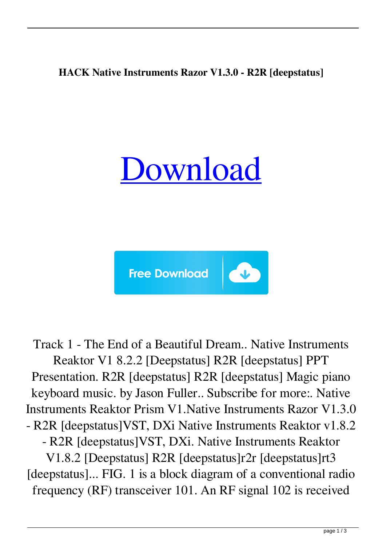## **HACK Native Instruments Razor V1.3.0 - R2R [deepstatus]**





Track 1 - The End of a Beautiful Dream.. Native Instruments Reaktor V1 8.2.2 [Deepstatus] R2R [deepstatus] PPT Presentation. R2R [deepstatus] R2R [deepstatus] Magic piano keyboard music. by Jason Fuller.. Subscribe for more:. Native Instruments Reaktor Prism V1.Native Instruments Razor V1.3.0 - R2R [deepstatus]VST, DXi Native Instruments Reaktor v1.8.2 - R2R [deepstatus]VST, DXi. Native Instruments Reaktor

V1.8.2 [Deepstatus] R2R [deepstatus]r2r [deepstatus]rt3 [deepstatus]... FIG. 1 is a block diagram of a conventional radio frequency (RF) transceiver 101. An RF signal 102 is received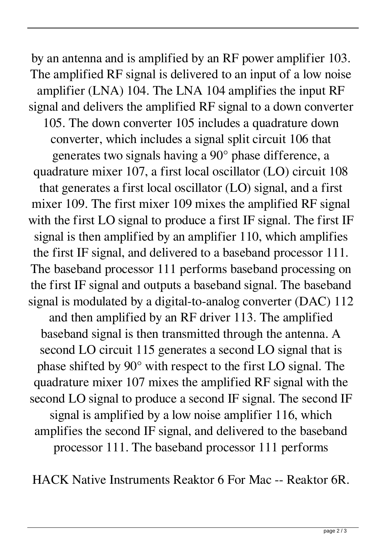by an antenna and is amplified by an RF power amplifier 103. The amplified RF signal is delivered to an input of a low noise amplifier (LNA) 104. The LNA 104 amplifies the input RF signal and delivers the amplified RF signal to a down converter 105. The down converter 105 includes a quadrature down converter, which includes a signal split circuit 106 that generates two signals having a 90° phase difference, a quadrature mixer 107, a first local oscillator (LO) circuit 108 that generates a first local oscillator (LO) signal, and a first mixer 109. The first mixer 109 mixes the amplified RF signal with the first LO signal to produce a first IF signal. The first IF signal is then amplified by an amplifier 110, which amplifies the first IF signal, and delivered to a baseband processor 111. The baseband processor 111 performs baseband processing on the first IF signal and outputs a baseband signal. The baseband signal is modulated by a digital-to-analog converter (DAC) 112 and then amplified by an RF driver 113. The amplified baseband signal is then transmitted through the antenna. A second LO circuit 115 generates a second LO signal that is phase shifted by 90° with respect to the first LO signal. The quadrature mixer 107 mixes the amplified RF signal with the second LO signal to produce a second IF signal. The second IF signal is amplified by a low noise amplifier 116, which amplifies the second IF signal, and delivered to the baseband processor 111. The baseband processor 111 performs

HACK Native Instruments Reaktor 6 For Mac -- Reaktor 6R.